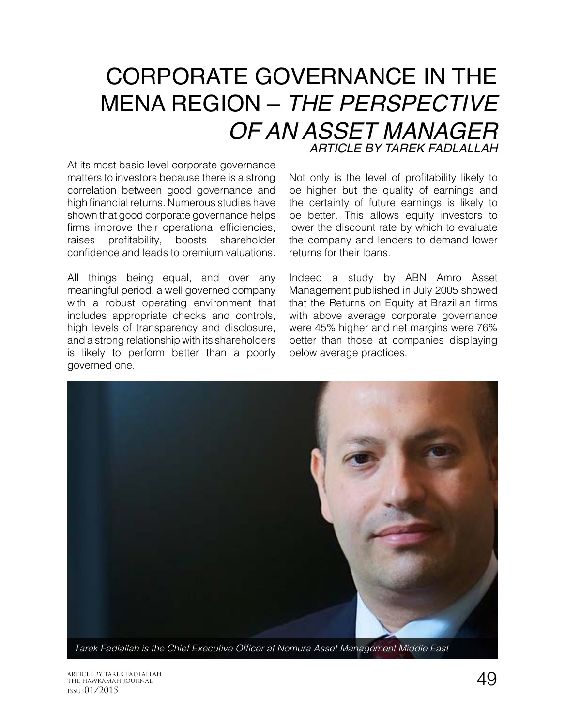## CORPORATE GOVERNANCE IN THE MENA REGION – *THE PERSPECTIVE OF AN ASSET MANAGER ARTICLE BY TAREK FADLALLAH*

At its most basic level corporate governance matters to investors because there is a strong correlation between good governance and high financial returns. Numerous studies have shown that good corporate governance helps firms improve their operational efficiencies, raises profitability, boosts shareholder confidence and leads to premium valuations.

All things being equal, and over any meaningful period, a well governed company with a robust operating environment that includes appropriate checks and controls, high levels of transparency and disclosure, and a strong relationship with its shareholders is likely to perform better than a poorly governed one.

Not only is the level of profitability likely to be higher but the quality of earnings and the certainty of future earnings is likely to be better. This allows equity investors to lower the discount rate by which to evaluate the company and lenders to demand lower returns for their loans.

Indeed a study by ABN Amro Asset Management published in July 2005 showed that the Returns on Equity at Brazilian firms with above average corporate governance were 45% higher and net margins were 76% better than those at companies displaying below average practices.



Tarek Fadlallah is the Chief Executive Officer at Nomura Asset Management Middle East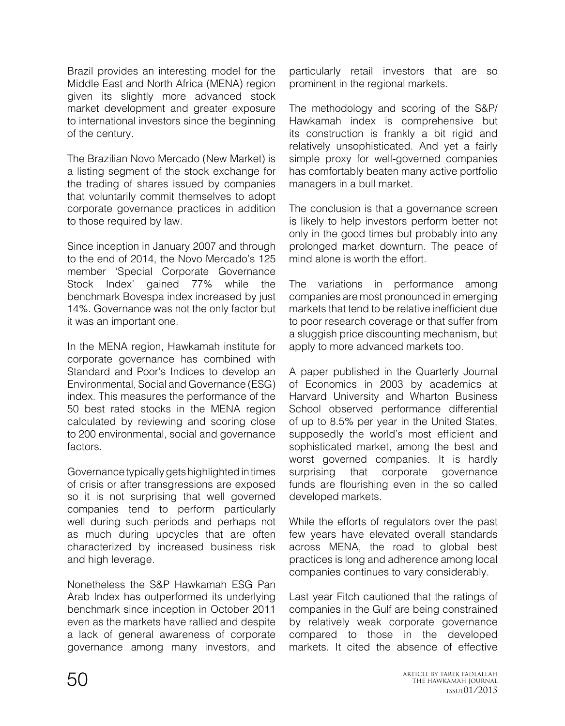Brazil provides an interesting model for the Middle East and North Africa (MENA) region given its slightly more advanced stock market development and greater exposure to international investors since the beginning of the century.

The Brazilian Novo Mercado (New Market) is a listing segment of the stock exchange for the trading of shares issued by companies that voluntarily commit themselves to adopt corporate governance practices in addition to those required by law.

Since inception in January 2007 and through to the end of 2014, the Novo Mercado's 125 member 'Special Corporate Governance Stock Index' gained 77% while the benchmark Bovespa index increased by just 14%. Governance was not the only factor but it was an important one.

In the MENA region, Hawkamah institute for corporate governance has combined with Standard and Poor's Indices to develop an Environmental, Social and Governance (ESG) index. This measures the performance of the 50 best rated stocks in the MENA region calculated by reviewing and scoring close to 200 environmental, social and governance factors.

Governance typically gets highlighted in times of crisis or after transgressions are exposed so it is not surprising that well governed companies tend to perform particularly well during such periods and perhaps not as much during upcycles that are often characterized by increased business risk and high leverage.

Nonetheless the S&P Hawkamah ESG Pan Arab Index has outperformed its underlying benchmark since inception in October 2011 even as the markets have rallied and despite a lack of general awareness of corporate governance among many investors, and

particularly retail investors that are so prominent in the regional markets.

The methodology and scoring of the S&P/ Hawkamah index is comprehensive but its construction is frankly a bit rigid and relatively unsophisticated. And yet a fairly simple proxy for well-governed companies has comfortably beaten many active portfolio managers in a bull market.

The conclusion is that a governance screen is likely to help investors perform better not only in the good times but probably into any prolonged market downturn. The peace of mind alone is worth the effort.

The variations in performance among companies are most pronounced in emerging markets that tend to be relative inefficient due to poor research coverage or that suffer from a sluggish price discounting mechanism, but apply to more advanced markets too.

A paper published in the Quarterly Journal of Economics in 2003 by academics at Harvard University and Wharton Business School observed performance differential of up to 8.5% per year in the United States, supposedly the world's most efficient and sophisticated market, among the best and worst governed companies. It is hardly surprising that corporate governance funds are flourishing even in the so called developed markets.

While the efforts of regulators over the past few years have elevated overall standards across MENA, the road to global best practices is long and adherence among local companies continues to vary considerably.

Last year Fitch cautioned that the ratings of companies in the Gulf are being constrained by relatively weak corporate governance compared to those in the developed markets. It cited the absence of effective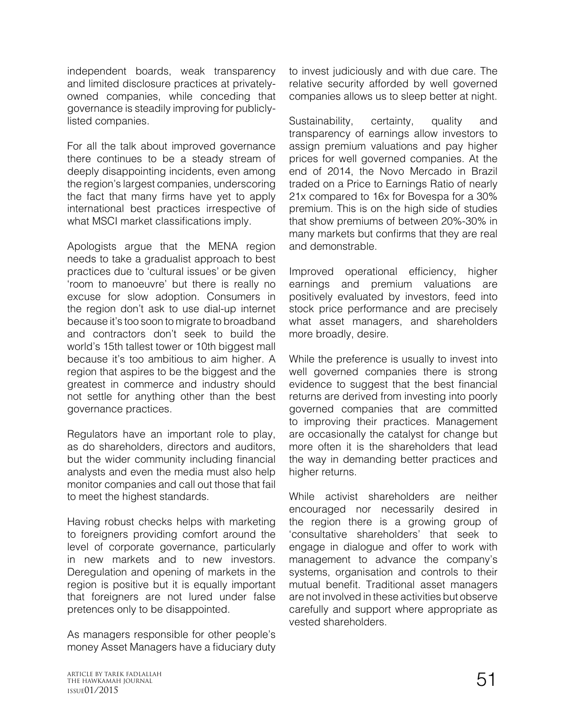independent boards, weak transparency and limited disclosure practices at privatelyowned companies, while conceding that governance is steadily improving for publiclylisted companies.

For all the talk about improved governance there continues to be a steady stream of deeply disappointing incidents, even among the region's largest companies, underscoring the fact that many firms have yet to apply international best practices irrespective of what MSCI market classifications imply.

Apologists argue that the MENA region needs to take a gradualist approach to best practices due to 'cultural issues' or be given 'room to manoeuvre' but there is really no excuse for slow adoption. Consumers in the region don't ask to use dial-up internet because it's too soon to migrate to broadband and contractors don't seek to build the world's 15th tallest tower or 10th biggest mall because it's too ambitious to aim higher. A region that aspires to be the biggest and the greatest in commerce and industry should not settle for anything other than the best governance practices.

Regulators have an important role to play, as do shareholders, directors and auditors, but the wider community including financial analysts and even the media must also help monitor companies and call out those that fail to meet the highest standards.

Having robust checks helps with marketing to foreigners providing comfort around the level of corporate governance, particularly in new markets and to new investors. Deregulation and opening of markets in the region is positive but it is equally important that foreigners are not lured under false pretences only to be disappointed.

As managers responsible for other people's money Asset Managers have a fiduciary duty

to invest judiciously and with due care. The relative security afforded by well governed companies allows us to sleep better at night.

Sustainability, certainty, quality and transparency of earnings allow investors to assign premium valuations and pay higher prices for well governed companies. At the end of 2014, the Novo Mercado in Brazil traded on a Price to Earnings Ratio of nearly 21x compared to 16x for Bovespa for a 30% premium. This is on the high side of studies that show premiums of between 20%-30% in many markets but confirms that they are real and demonstrable.

Improved operational efficiency, higher earnings and premium valuations are positively evaluated by investors, feed into stock price performance and are precisely what asset managers, and shareholders more broadly, desire.

While the preference is usually to invest into well governed companies there is strong evidence to suggest that the best financial returns are derived from investing into poorly governed companies that are committed to improving their practices. Management are occasionally the catalyst for change but more often it is the shareholders that lead the way in demanding better practices and higher returns.

While activist shareholders are neither encouraged nor necessarily desired in the region there is a growing group of 'consultative shareholders' that seek to engage in dialogue and offer to work with management to advance the company's systems, organisation and controls to their mutual benefit. Traditional asset managers are not involved in these activities but observe carefully and support where appropriate as vested shareholders.